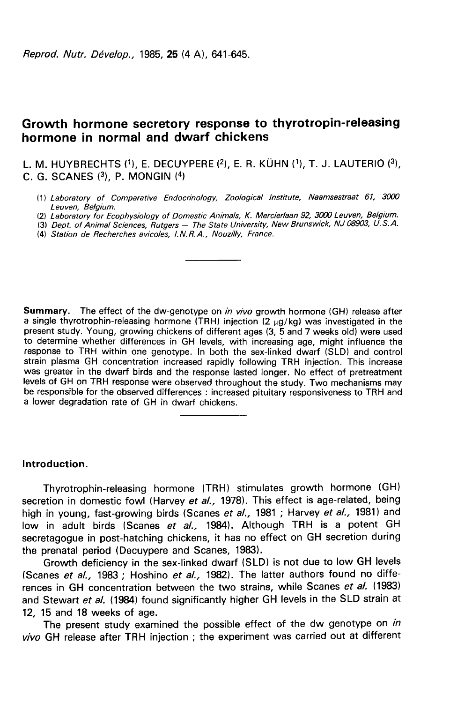# Growth hormone secretory response to thyrotropin-releasing hormone in normal and dwarf chickens

L. M. HUYBRECHTS  $(1)$ , E. DECUYPERE  $(2)$ , E. R. KÜHN  $(1)$ , T. J. LAUTERIO  $(3)$ , C. G. SCANES  $(3)$ . P. MONGIN  $(4)$ 

- (1) Laboratory of Comparative Endocrinology, Zoological Institute, Naamsestraat 61, 3000 Leuven, Belgium.
- (2) Laboratory for Ecophysiology of Domestic Animals, K. Mercierlaan 92, 3000 Leuven, Belgium.
- (3) Dept. of Animal Sciences, Rutgers The State University, New Brunswick, NJ 08903, U.S.A.
- (4) Station de Recherches avicoles, l.N.R.A., Nouzilly, France.

Summary. The effect of the dw-genotype on in vivo growth hormone (GH) release after a single thyrotrophin-releasing hormone (TRH) injection (2 wg/kg) was investigated in the present study. Young, growing chickens of different ages (3, 5 and 7 weeks old) were used to determine whether differences in GH levels, with increasing age, might influence the response to TRH within one genotype. In both the sex-linked dwarf (SLD) and control strain plasma GH concentration increased rapidly following TRH injection. This increase was greater in the dwarf birds and the response lasted longer. No effect of pretreatment levels of GH on TRH response were observed throughout the study. Two mechanisms may be responsible for the observed differences : increased pituitary responsiveness to TRH and a lower degradation rate of GH in dwarf chickens.

### Introduction.

Thyrotrophin-releasing hormone (TRH) stimulates growth hormone (GH) secretion in domestic fowl (Harvey et al., 1978). This effect is age-related, being high in young, fast-growing birds (Scanes et al., 1981; Harvey et al., 1981) and low in adult birds (Scanes et al., 1984). Although TRH is a potent GH secretagogue in post-hatching chickens, it has no effect on GH secretion during the prenatal period (Decuypere and Scanes, 1983).

Growth deficiency in the sex-linked dwarf (SLD) is not due to low GH levels (Scanes et al., 1983 ; Hoshino et al., 1982). The latter authors found no differences in GH concentration between the two strains, while Scanes et al. (1983) and Stewart et al. (1984) found significantly higher GH levels in the SLD strain at 12, 15 and 18 weeks of age.

The present study examined the possible effect of the dw genotype on in vivo GH release after TRH injection ; the experiment was carried out at different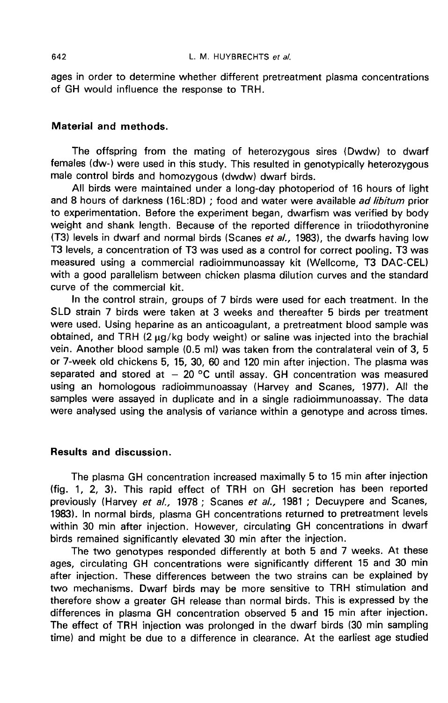ages in order to determine whether different pretreatment plasma concentrations of GH would influence the response to TRH.

### Material and methods.

The offspring from the mating of heterozygous sires (Dwdw) to dwarf females (dw-) were used in this study. This resulted in genotypically heterozygous male control birds and homozygous (dwdw) dwarf birds.

All birds were maintained under a long-day photoperiod of 16 hours of light and 8 hours of darkness (16L:8D) ; food and water were available ad libitum prior to experimentation. Before the experiment began, dwarfism was verified by body weight and shank length. Because of the reported difference in triiodothyronine (T3) levels in dwarf and normal birds (Scanes et al., 1983), the dwarfs having low T3 levels, a concentration of T3 was used as a control for correct pooling. T3 was measured using a commercial radioimmunoassay kit (Wellcome, T3 DAC-CEL) with a good parallelism between chicken plasma dilution curves and the standard curve of the commercial kit.

In the control strain, groups of 7 birds were used for each treatment. In the SLD strain 7 birds were taken at 3 weeks and thereafter 5 birds per treatment were used. Using heparine as an anticoagulant, a pretreatment blood sample was obtained, and TRH  $(2 \mu g/kg$  body weight) or saline was injected into the brachial vein. Another blood sample (0.5 ml) was taken from the contralateral vein of 3, 5 or 7-week old chickens 5, 15, 30, 60 and 120 min after injection. The plasma was separated and stored at  $-$  20 °C until assay. GH concentration was measured using an homologous radioimmunoassay (Harvey and Scanes, 1977). All the samples were assayed in duplicate and in a single radioimmunoassay. The data were analysed using the analysis of variance within a genotype and across times.

## Results and discussion.

The plasma GH concentration increased maximally 5 to 15 min after injection (fig. 1, 2, 3). This rapid effect of TRH on GH secretion has been reported previously (Harvey et al., 1978 ; Scanes et al., 1981 ; Decuypere and Scanes, 1983). In normal birds, plasma GH concentrations returned to pretreatment levels within 30 min after injection. However, circulating GH concentrations in dwarf birds remained significantly elevated 30 min after the injection.

The two genotypes responded differently at both 5 and 7 weeks. At these ages, circulating GH concentrations were significantly different 15 and 30 min after injection. These differences between the two strains can be explained by two mechanisms. Dwarf birds may be more sensitive to TRH stimulation and therefore show a greater GH release than normal birds. This is expressed by the differences in plasma GH concentration observed 5 and 15 min after injection. The effect of TRH injection was prolonged in the dwarf birds (30 min sampling time) and might be due to a difference in clearance. At the earliest age studied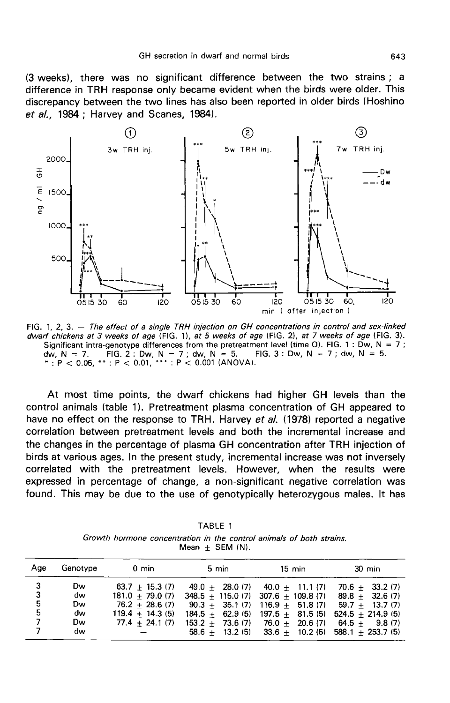(3 weeks), there was no significant difference between the two strains ; a difference in TRH response only became evident when the birds were older. This discrepancy between the two lines has also been reported in older birds (Hoshino et al., 1984 ; Harvey and Scanes, 1984).



FIG. 1, 2, 3. - The effect of a single TRH injection on GH concentrations in control and sex-linked dwarf chickens at 3 weeks of age (FIG. 1), at 5 weeks of age (FIG. 2), at 7 weeks of age (FIG. 3). Significant intra-genotype differences from the pretreatment level (time O). FIG. 1 : Dw, N = 7 ; dw, N = 7. FIG. 2:Dw, N = 7;dw, N = 5. I<br>\*:P < 0.05, \*\*:P < 0.01, \*\*\*:P < 0.001 (ANOVA). dw,  $N = 7$ . FIG. 3 : Dw, N = 7 ; dw, N = 5.

At most time points, the dwarf chickens had higher GH levels than the control animals (table 11. Pretreatment plasma concentration of GH appeared to have no effect on the response to TRH. Harvey et al. (1978) reported a negative correlation between pretreatment levels and both the incremental increase and the changes in the percentage of plasma GH concentration after TRH injection of birds at various ages. In the present study, incremental increase was not inversely correlated with the pretreatment levels. However, when the results were expressed in percentage of change, a non-significant negative correlation was found. This may be due to the use of genotypically heterozygous males. It has

TABLE 1 Growth hormone concentration in the control animals of both strains. Mean  $\pm$  SEM (N).

| Age                   | Genotype                                       | 0 min                                                                                                 | 5 min            | 15 min                                                                                                                                                                                                                         | 30 min                                                                                          |
|-----------------------|------------------------------------------------|-------------------------------------------------------------------------------------------------------|------------------|--------------------------------------------------------------------------------------------------------------------------------------------------------------------------------------------------------------------------------|-------------------------------------------------------------------------------------------------|
| 3<br>3<br>5<br>5<br>7 | <b>Dw</b><br>dw<br>Dw<br>dw<br><b>Dw</b><br>dw | $63.7 + 15.3(7)$<br>$181.0 + 79.0(7)$<br>$76.2 + 28.6(7)$<br>$119.4 \pm 14.3$ (5)<br>$77.4 + 24.1(7)$ | $58.6 + 13.2(5)$ | $49.0 + 28.0(7)$ $40.0 + 11.1(7)$<br>$348.5 + 115.0(7)$ $307.6 + 109.8(7)$ $89.8 + 32.6(7)$<br>$90.3 + 35.1(7)$ $116.9 + 51.8(7)$<br>$184.5 + 62.9(5)$ $197.5 + 81.5(5)$<br>$153.2 + 73.6(7)$ $76.0 + 20.6(7)$ $64.5 + 9.8(7)$ | $70.6 + 33.2(7)$<br>$59.7 + 13.7(7)$<br>$524.5 + 214.9(5)$<br>$33.6 + 10.2(5)$ 588.1 + 253.7(5) |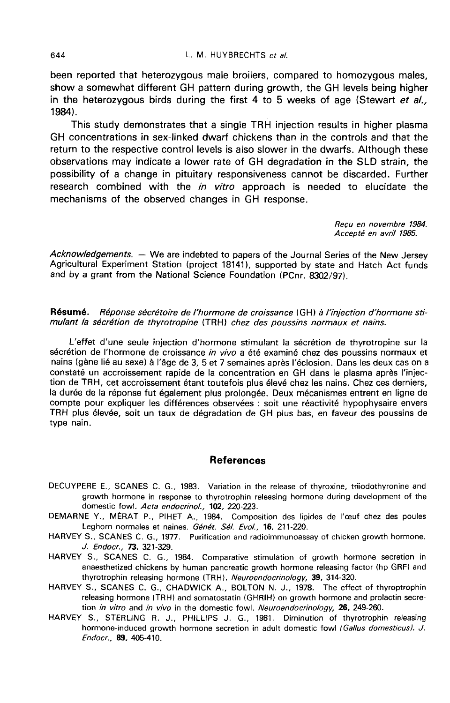been reported that heterozygous male broilers, compared to homozygous males, show a somewhat different GH pattern during growth, the GH levels being higher in the heterozygous birds during the first 4 to 5 weeks of age (Stewart et al., 1984).

This study demonstrates that a single TRH injection results in higher plasma GH concentrations in sex-linked dwarf chickens than in the controls and that the return to the respective control levels is also slower in the dwarfs. Although these observations may indicate a lower rate of GH degradation in the SLD strain, the possibility of a change in pituitary responsiveness cannot be discarded. Further research combined with the in vitro approach is needed to elucidate the mechanisms of the observed changes in GH response.

> Reçu en novembre 1964. Accepté en avril 1985.

Acknowledgements. - We are indebted to papers of the Journal Series of the New Jersey Agricultural Experiment Station (project 18141), supported by state and Hatch Act funds and by a grant from the National Science Foundation (PCnr. 8302/97).

Résumé. Réponse sécrétoire de l'hormone de croissance (GH) à l'injection d'hormone stimulant la sécrétion de thyrotropine (TRH) chez des poussins normaux et nains.

L'effet d'une seule injection d'hormone stimulant la sécrétion de thyrotropine sur la sécrétion de l'hormone de croissance in vivo a été examiné chez des poussins normaux et nains (gène lié au sexe) à l'âge de 3, 5 et 7 semaines après l'éclosion. Dans les deux cas on a constaté un accroissement rapide de la concentration en GH dans le plasma après l'injection de TRH, cet accroissement étant toutefois plus élevé chez les nains. Chez ces derniers, la durée de la réponse fut également plus prolongée. Deux mécanismes entrent en ligne de compte pour expliquer les différences observées : soit une réactivité hypophysaire envers TRH plus élevée, soit un taux de dégradation de GH plus bas, en faveur des poussins de type nain.

#### **References**

- DECUYPERE E., SCANES C. G., 1983. Variation in the release of thyroxine, triiodothyronine and growth hormone in response to thyrotrophin releasing hormone during development of the domestic fowl. Acta endocrinol., 102, 220-223.
- DEMARNE Y., MERAT P., PIHET A., 1984. Composition des lipides de l'œuf chez des poules Leghorn normales et naines. Génét. Sél. Evol., 16, 211-220.
- HARVEY S., SCANES C. G., 1977. Purification and radioimmunoassay of chicken growth hormone. J. Endocr., 73, 321-329.
- HARVEY S., SCANES C. G., 1984. Comparative stimulation of growth hormone secretion in anaesthetized chickens by human pancreatic growth hormone releasing factor (hp GRF) and thyrotrophin releasing hormone (TRH). Neuroendocrinology, 39, 314-320.
- HARVEY S., SCANES C. G., CHADWICK A., BOLTON N. J., 1978. The effect of thyroptrophin releasing hormone (TRH) and somatostatin (GHRIH) on growth hormone and prolactin secretion in vitro and in vivo in the domestic fowl. Neuroendocrinology, 26, 249-260.
- HARVEY S., STERLING R. J., PHILLIPS J. G., 1981. Diminution of thyrotrophin releasing hormone-induced growth hormone secretion in adult domestic fowl (Gallus domesticus). J. Endocr., 89, 405-410.